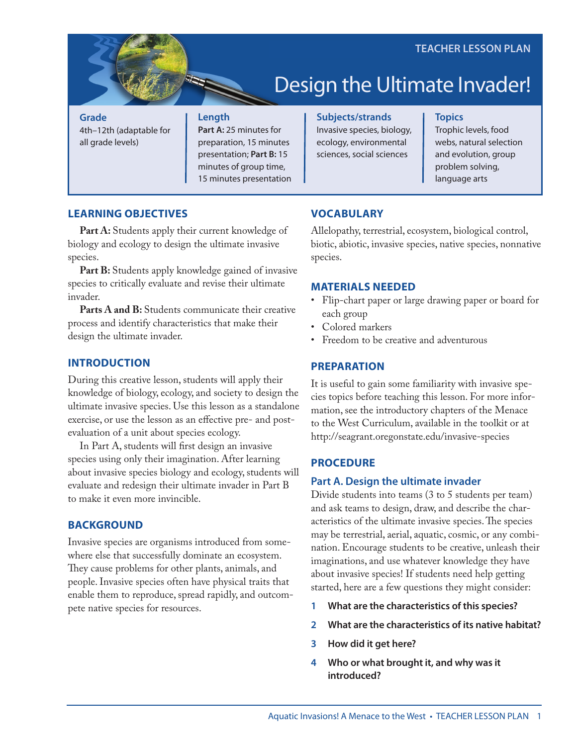# Design the Ultimate Invader!

**Grade** 4th–12th (adaptable for all grade levels)

#### **Length**

**Part A:** 25 minutes for preparation, 15 minutes presentation; **Part B:** 15 minutes of group time, 15 minutes presentation **Subjects/strands** Invasive species, biology, ecology, environmental sciences, social sciences

#### **Topics**

Trophic levels, food webs, natural selection and evolution, group problem solving, language arts

# **LEARNING OBJECTIVES**

Part A: Students apply their current knowledge of biology and ecology to design the ultimate invasive species.

**Part B:** Students apply knowledge gained of invasive species to critically evaluate and revise their ultimate invader.

Parts A and B: Students communicate their creative process and identify characteristics that make their design the ultimate invader.

# **INTRODUCTION**

During this creative lesson, students will apply their knowledge of biology, ecology, and society to design the ultimate invasive species. Use this lesson as a standalone exercise, or use the lesson as an effective pre- and postevaluation of a unit about species ecology.

In Part A, students will first design an invasive species using only their imagination. After learning about invasive species biology and ecology, students will evaluate and redesign their ultimate invader in Part B to make it even more invincible.

# **BACKGROUND**

Invasive species are organisms introduced from somewhere else that successfully dominate an ecosystem. They cause problems for other plants, animals, and people. Invasive species often have physical traits that enable them to reproduce, spread rapidly, and outcompete native species for resources.

# **VOCABULARY**

Allelopathy, terrestrial, ecosystem, biological control, biotic, abiotic, invasive species, native species, nonnative species.

#### **MATERIALS NEEDED**

- Flip-chart paper or large drawing paper or board for each group
- Colored markers
- Freedom to be creative and adventurous

#### **PREPARATION**

It is useful to gain some familiarity with invasive species topics before teaching this lesson. For more information, see the introductory chapters of the Menace to the West Curriculum, available in the toolkit or at <http://seagrant.oregonstate.edu/invasive>-species

#### **PROCEDURE**

#### **Part A. Design the ultimate invader**

Divide students into teams (3 to 5 students per team) and ask teams to design, draw, and describe the characteristics of the ultimate invasive species. The species may be terrestrial, aerial, aquatic, cosmic, or any combination. Encourage students to be creative, unleash their imaginations, and use whatever knowledge they have about invasive species! If students need help getting started, here are a few questions they might consider:

- **1 What are the characteristics of this species?**
- **2 What are the characteristics of its native habitat?**
- **3 How did it get here?**
- **4 Who or what brought it, and why was it introduced?**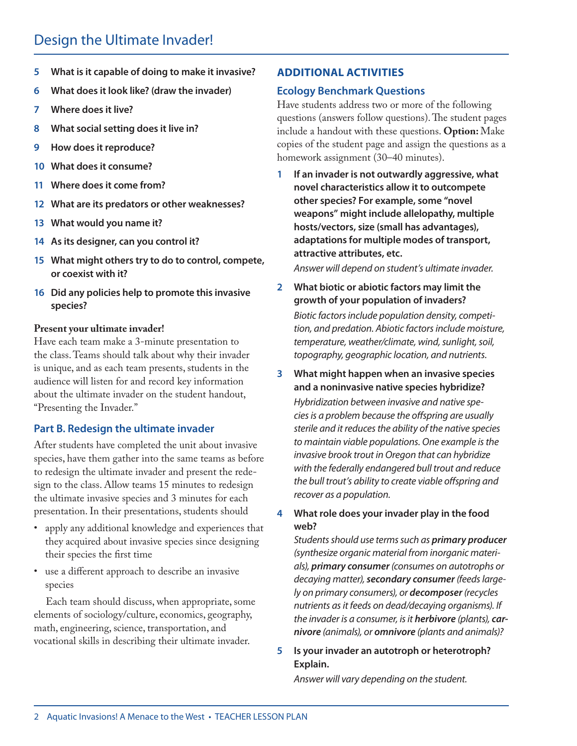# Design the Ultimate Invader!

- **5 What is it capable of doing to make it invasive?**
- **6 What does it look like? (draw the invader)**
- **7 Where does it live?**
- **8 What social setting does it live in?**
- **9 How does it reproduce?**
- **10 What does it consume?**
- **11 Where does it come from?**
- **12 What are its predators or other weaknesses?**
- **13 What would you name it?**
- **14 As its designer, can you control it?**
- **15 What might others try to do to control, compete, or coexist with it?**
- **16 Did any policies help to promote this invasive species?**

#### **Present your ultimate invader!**

Have each team make a 3-minute presentation to the class. Teams should talk about why their invader is unique, and as each team presents, students in the audience will listen for and record key information about the ultimate invader on the student handout, "Presenting the Invader."

# **Part B. Redesign the ultimate invader**

After students have completed the unit about invasive species, have them gather into the same teams as before to redesign the ultimate invader and present the redesign to the class. Allow teams 15 minutes to redesign the ultimate invasive species and 3 minutes for each presentation. In their presentations, students should

- apply any additional knowledge and experiences that they acquired about invasive species since designing their species the first time
- use a different approach to describe an invasive species

Each team should discuss, when appropriate, some elements of sociology/culture, economics, geography, math, engineering, science, transportation, and vocational skills in describing their ultimate invader.

#### **ADDITIONAL ACTIVITIES**

# **Ecology Benchmark Questions**

Have students address two or more of the following questions (answers follow questions). The student pages include a handout with these questions. **Option:** Make copies of the student page and assign the questions as a homework assignment (30–40 minutes).

**1 If an invader is not outwardly aggressive, what novel characteristics allow it to outcompete other species? For example, some "novel weapons" might include allelopathy, multiple hosts/vectors, size (small has advantages), adaptations for multiple modes of transport, attractive attributes, etc.** 

*Answer will depend on student's ultimate invader.*

- **2 What biotic or abiotic factors may limit the growth of your population of invaders?**  *Biotic factors include population density, competition, and predation. Abiotic factors include moisture, temperature, weather/climate, wind, sunlight, soil, topography, geographic location, and nutrients.*
- **3 What might happen when an invasive species and a noninvasive native species hybridize?** *Hybridization between invasive and native species is a problem because the offspring are usually sterile and it reduces the ability of the native species to maintain viable populations. One example is the invasive brook trout in Oregon that can hybridize with the federally endangered bull trout and reduce the bull trout's ability to create viable offspring and recover as a population.*

**4 What role does your invader play in the food web?**

*Students should use terms such as primary producer (synthesize organic material from inorganic materials), primary consumer (consumes on autotrophs or decaying matter), secondary consumer (feeds largely on primary consumers), or decomposer (recycles nutrients as it feeds on dead/decaying organisms). If the invader is a consumer, is it herbivore (plants), carnivore (animals), or omnivore (plants and animals)?* 

# **5 Is your invader an autotroph or heterotroph? Explain.**

*Answer will vary depending on the student.*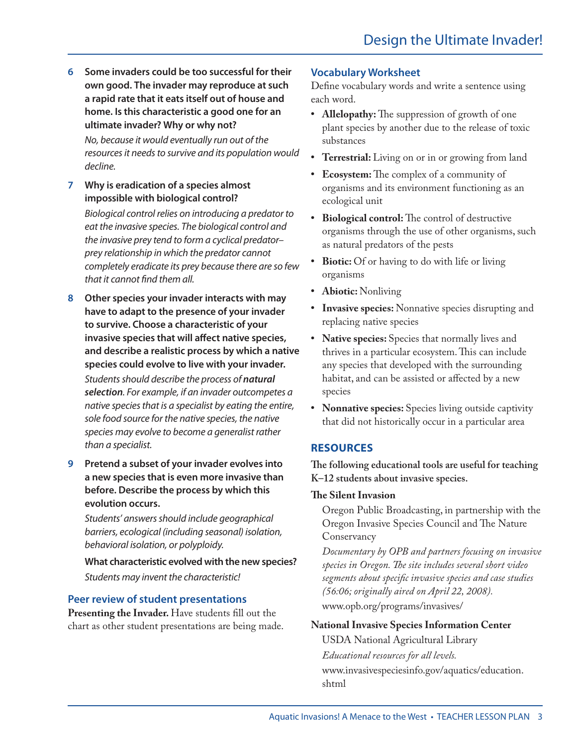**6 Some invaders could be too successful for their own good. The invader may reproduce at such a rapid rate that it eats itself out of house and home. Is this characteristic a good one for an ultimate invader? Why or why not?**

*No, because it would eventually run out of the resources it needs to survive and its population would decline.*

**7 Why is eradication of a species almost impossible with biological control?**

*Biological control relies on introducing a predator to eat the invasive species. The biological control and the invasive prey tend to form a cyclical predator– prey relationship in which the predator cannot completely eradicate its prey because there are so few that it cannot find them all.* 

**8 Other species your invader interacts with may have to adapt to the presence of your invader to survive. Choose a characteristic of your invasive species that will affect native species, and describe a realistic process by which a native species could evolve to live with your invader.**

*Students should describe the process of natural selection. For example, if an invader outcompetes a native species that is a specialist by eating the entire, sole food source for the native species, the native species may evolve to become a generalist rather than a specialist.*

**9 Pretend a subset of your invader evolves into a new species that is even more invasive than before. Describe the process by which this evolution occurs.**

*Students' answers should include geographical barriers, ecological (including seasonal) isolation, behavioral isolation, or polyploidy.*

**What characteristic evolved with the new species?** *Students may invent the characteristic!*

# **Peer review of student presentations**

Presenting the Invader. Have students fill out the chart as other student presentations are being made.

# **Vocabulary Worksheet**

Define vocabulary words and write a sentence using each word.

- **Allelopathy:** The suppression of growth of one plant species by another due to the release of toxic substances
- **• Terrestrial:** Living on or in or growing from land
- **• Ecosystem:** The complex of a community of organisms and its environment functioning as an ecological unit
- **• Biological control:** The control of destructive organisms through the use of other organisms, such as natural predators of the pests
- **• Biotic:** Of or having to do with life or living organisms
- **• Abiotic:** Nonliving
- **• Invasive species:** Nonnative species disrupting and replacing native species
- **• Native species:** Species that normally lives and thrives in a particular ecosystem. This can include any species that developed with the surrounding habitat, and can be assisted or affected by a new species
- **• Nonnative species:** Species living outside captivity that did not historically occur in a particular area

# **RESOURCES**

**The following educational tools are useful for teaching K–12 students about invasive species.**

# **The Silent Invasion**

Oregon Public Broadcasting, in partnership with the Oregon Invasive Species Council and The Nature Conservancy

*Documentary by OPB and partners focusing on invasive species in Oregon. The site includes several short video segments about specific invasive species and case studies (56:06; originally aired on April 22, 2008).*  [www.opb.org/programs/invasives/](www.opb.org/programs/invasives)

# **National Invasive Species Information Center**

USDA National Agricultural Library *Educational resources for all levels.* [www.invasivespeciesinfo.gov/aquatics/education.](www.invasivespeciesinfo.gov/aquatics/education.shtml) [shtml](www.invasivespeciesinfo.gov/aquatics/education.shtml)